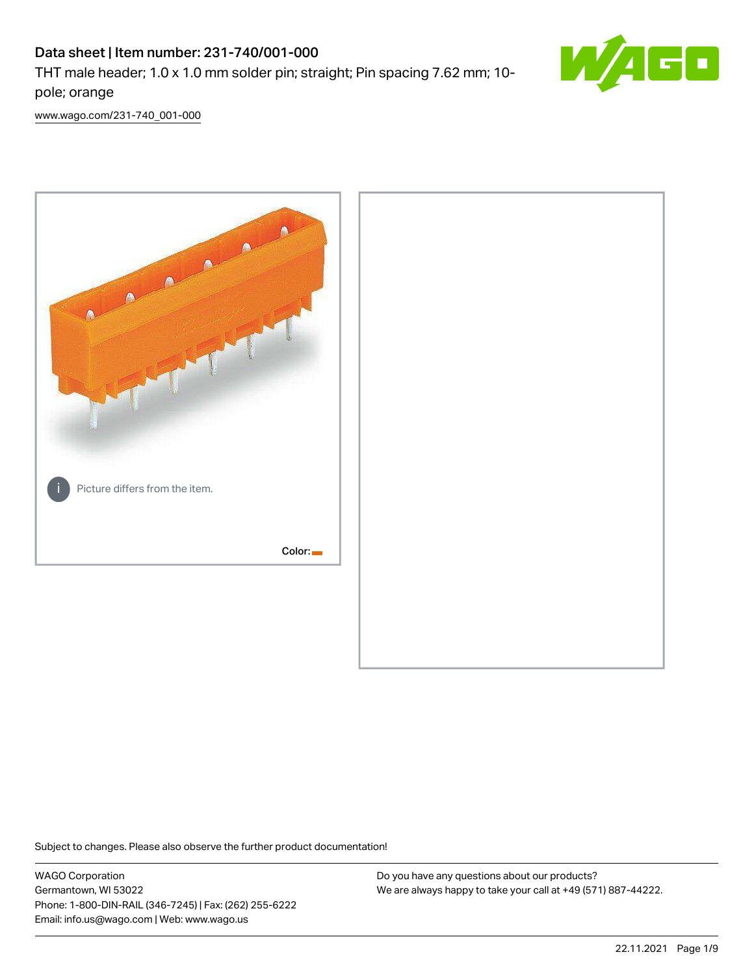# Data sheet | Item number: 231-740/001-000

THT male header; 1.0 x 1.0 mm solder pin; straight; Pin spacing 7.62 mm; 10 pole; orange



[www.wago.com/231-740\\_001-000](http://www.wago.com/231-740_001-000)



Subject to changes. Please also observe the further product documentation!

WAGO Corporation Germantown, WI 53022 Phone: 1-800-DIN-RAIL (346-7245) | Fax: (262) 255-6222 Email: info.us@wago.com | Web: www.wago.us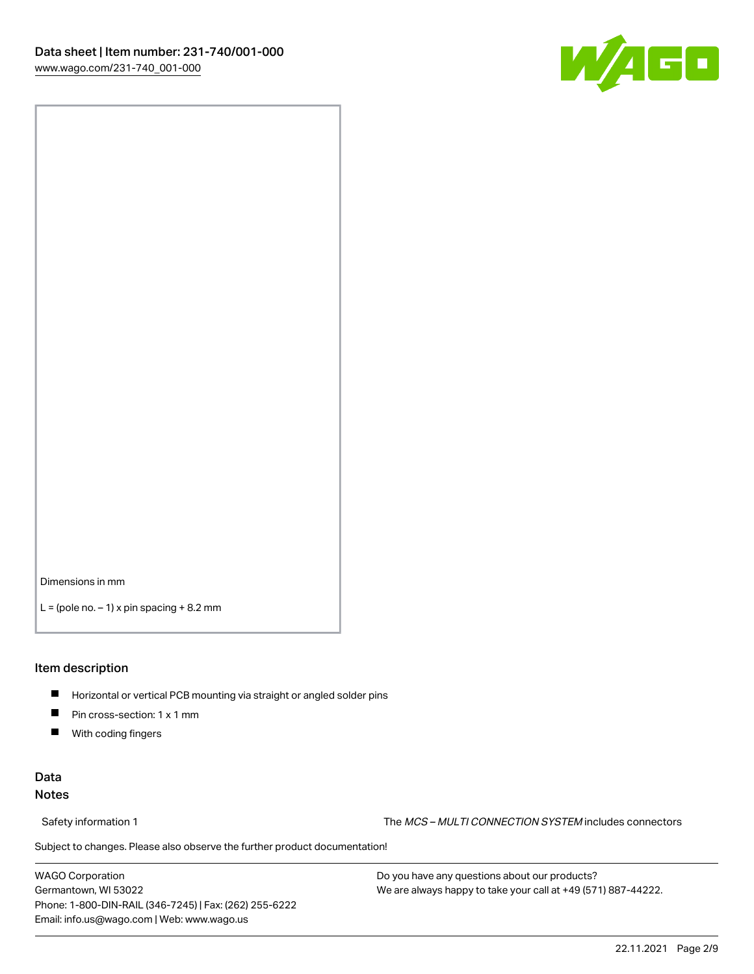

Dimensions in mm

 $L =$  (pole no.  $-1$ ) x pin spacing  $+8.2$  mm

### Item description

- **Horizontal or vertical PCB mounting via straight or angled solder pins**
- **Pin cross-section: 1 x 1 mm**
- $\blacksquare$ With coding fingers

### Data Notes

Safety information 1 The MCS – MULTI CONNECTION SYSTEM includes connectors

Subject to changes. Please also observe the further product documentation!  $\nu$ 

WAGO Corporation Germantown, WI 53022 Phone: 1-800-DIN-RAIL (346-7245) | Fax: (262) 255-6222 Email: info.us@wago.com | Web: www.wago.us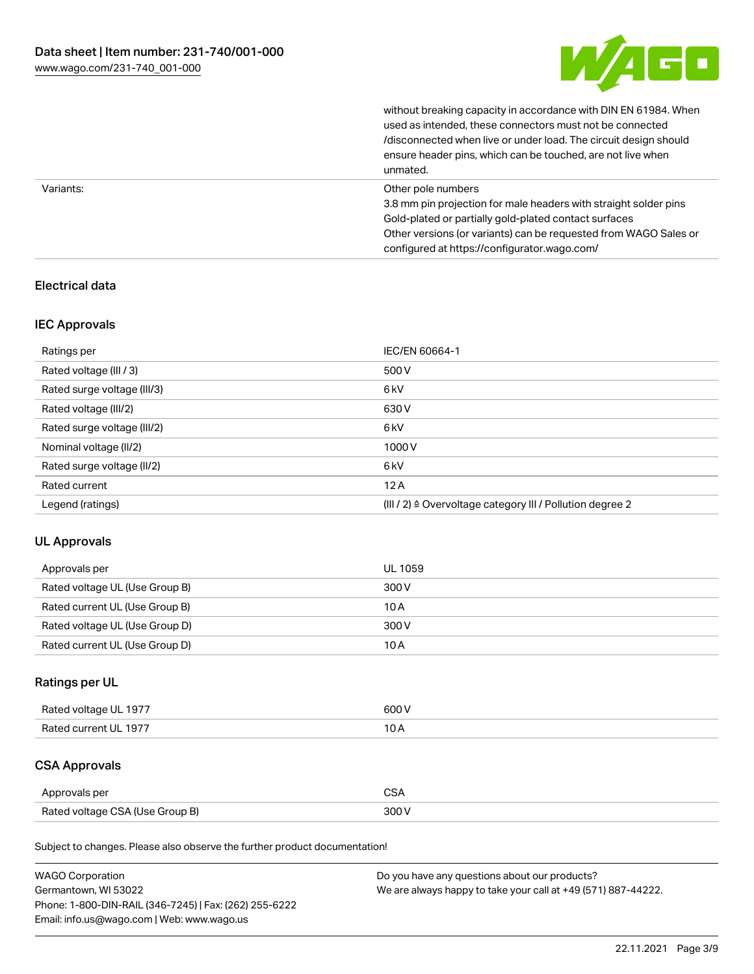

without breaking capacity in accordance with DIN EN 61984. When

|           | used as intended, these connectors must not be connected<br>/disconnected when live or under load. The circuit design should<br>ensure header pins, which can be touched, are not live when<br>unmated.                                                             |
|-----------|---------------------------------------------------------------------------------------------------------------------------------------------------------------------------------------------------------------------------------------------------------------------|
| Variants: | Other pole numbers<br>3.8 mm pin projection for male headers with straight solder pins<br>Gold-plated or partially gold-plated contact surfaces<br>Other versions (or variants) can be requested from WAGO Sales or<br>configured at https://configurator.wago.com/ |

## Electrical data

### IEC Approvals

| Ratings per                 | IEC/EN 60664-1                                                        |
|-----------------------------|-----------------------------------------------------------------------|
| Rated voltage (III / 3)     | 500 V                                                                 |
| Rated surge voltage (III/3) | 6 <sub>kV</sub>                                                       |
| Rated voltage (III/2)       | 630 V                                                                 |
| Rated surge voltage (III/2) | 6 <sub>kV</sub>                                                       |
| Nominal voltage (II/2)      | 1000V                                                                 |
| Rated surge voltage (II/2)  | 6 <sub>kV</sub>                                                       |
| Rated current               | 12A                                                                   |
| Legend (ratings)            | $(III / 2)$ $\triangle$ Overvoltage category III / Pollution degree 2 |

### UL Approvals

| Approvals per                  | UL 1059 |
|--------------------------------|---------|
| Rated voltage UL (Use Group B) | 300 V   |
| Rated current UL (Use Group B) | 10 A    |
| Rated voltage UL (Use Group D) | 300 V   |
| Rated current UL (Use Group D) | 10 A    |

# Ratings per UL

| Rated voltage UL 1977 | 600 V |
|-----------------------|-------|
| Rated current UL 1977 |       |

# CSA Approvals

| Approvals per                   | $\sim$ |
|---------------------------------|--------|
| Rated voltage CSA (Use Group B) | 300 V  |

Subject to changes. Please also observe the further product documentation!

| <b>WAGO Corporation</b>                                | Do you have any questions about our products?                 |
|--------------------------------------------------------|---------------------------------------------------------------|
| Germantown, WI 53022                                   | We are always happy to take your call at +49 (571) 887-44222. |
| Phone: 1-800-DIN-RAIL (346-7245)   Fax: (262) 255-6222 |                                                               |
| Email: info.us@wago.com   Web: www.wago.us             |                                                               |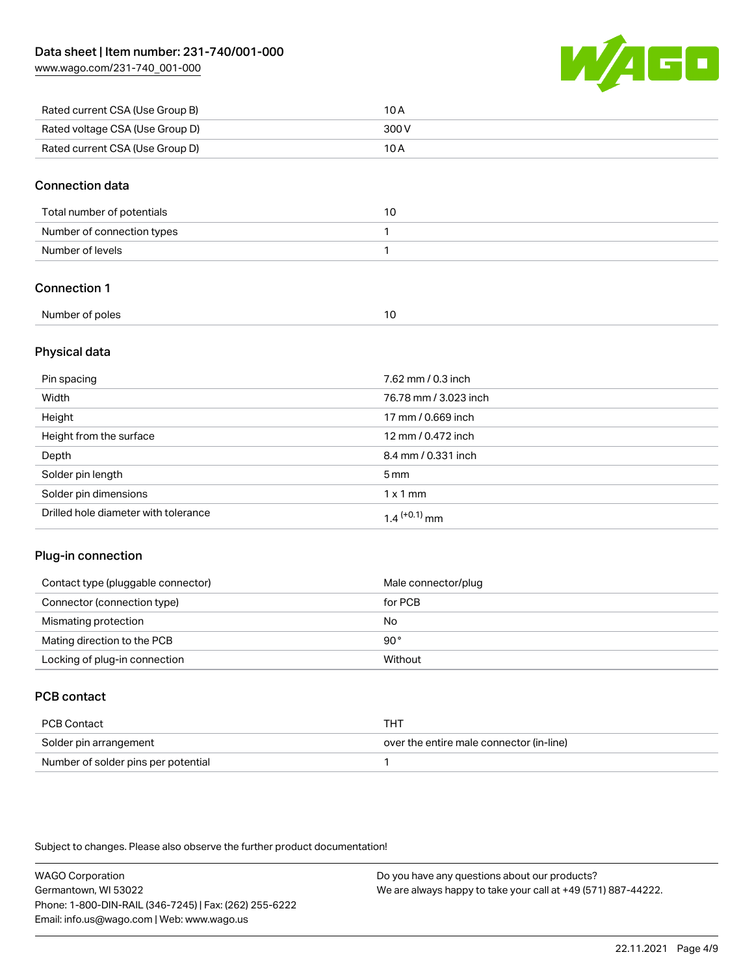[www.wago.com/231-740\\_001-000](http://www.wago.com/231-740_001-000)



| Rated current CSA (Use Group B) | 10 A  |
|---------------------------------|-------|
| Rated voltage CSA (Use Group D) | 300 V |
| Rated current CSA (Use Group D) | 10 A  |

### Connection data

| Total number of potentials | 10 |
|----------------------------|----|
| Number of connection types |    |
| Number of levels           |    |

## Connection 1

| Number of poles |  |
|-----------------|--|

### Physical data

| Pin spacing                          | 7.62 mm / 0.3 inch         |
|--------------------------------------|----------------------------|
| Width                                | 76.78 mm / 3.023 inch      |
| Height                               | 17 mm / 0.669 inch         |
| Height from the surface              | 12 mm / 0.472 inch         |
| Depth                                | 8.4 mm / 0.331 inch        |
| Solder pin length                    | $5 \,\mathrm{mm}$          |
| Solder pin dimensions                | $1 \times 1$ mm            |
| Drilled hole diameter with tolerance | $1.4$ <sup>(+0.1)</sup> mm |

### Plug-in connection

| Contact type (pluggable connector) | Male connector/plug |
|------------------------------------|---------------------|
| Connector (connection type)        | for PCB             |
| Mismating protection               | No                  |
| Mating direction to the PCB        | 90°                 |
| Locking of plug-in connection      | Without             |

# PCB contact

| PCB Contact                         | тнт                                      |
|-------------------------------------|------------------------------------------|
| Solder pin arrangement              | over the entire male connector (in-line) |
| Number of solder pins per potential |                                          |

Subject to changes. Please also observe the further product documentation!

WAGO Corporation Germantown, WI 53022 Phone: 1-800-DIN-RAIL (346-7245) | Fax: (262) 255-6222 Email: info.us@wago.com | Web: www.wago.us Do you have any questions about our products? We are always happy to take your call at +49 (571) 887-44222.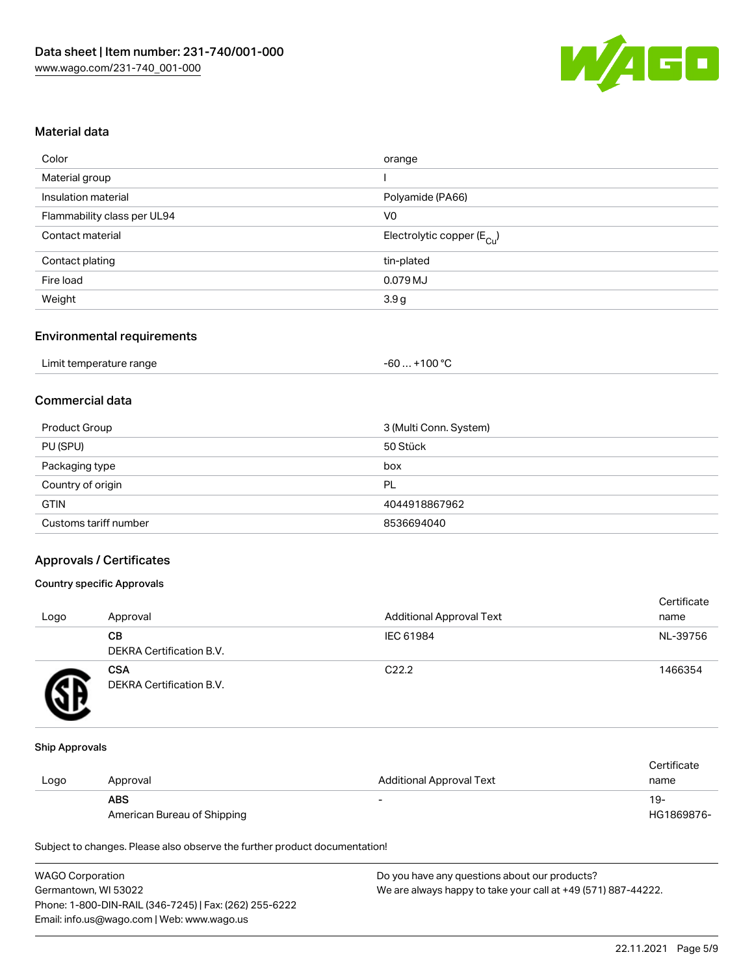

### Material data

| Color                       | orange                                 |
|-----------------------------|----------------------------------------|
| Material group              |                                        |
| Insulation material         | Polyamide (PA66)                       |
| Flammability class per UL94 | V0                                     |
| Contact material            | Electrolytic copper (E <sub>Cu</sub> ) |
| Contact plating             | tin-plated                             |
| Fire load                   | 0.079 MJ                               |
| Weight                      | 3.9 <sub>g</sub>                       |
|                             |                                        |

### Environmental requirements

| Limit temperature range | $+100 °C$<br>-60 |
|-------------------------|------------------|
|-------------------------|------------------|

# Commercial data

| Product Group         | 3 (Multi Conn. System) |
|-----------------------|------------------------|
| PU (SPU)              | 50 Stück               |
| Packaging type        | box                    |
| Country of origin     | PL                     |
| <b>GTIN</b>           | 4044918867962          |
| Customs tariff number | 8536694040             |

### Approvals / Certificates

### Country specific Approvals

| Logo | Approval                               | <b>Additional Approval Text</b> | Certificate<br>name |
|------|----------------------------------------|---------------------------------|---------------------|
|      | CВ<br><b>DEKRA Certification B.V.</b>  | IEC 61984                       | NL-39756            |
|      | <b>CSA</b><br>DEKRA Certification B.V. | C <sub>22.2</sub>               | 1466354             |

#### Ship Approvals

|      |                             |                          | Certificate |
|------|-----------------------------|--------------------------|-------------|
| Logo | Approval                    | Additional Approval Text | name        |
|      | <b>ABS</b>                  |                          | 19-         |
|      | American Bureau of Shipping |                          | HG1869876-  |

Subject to changes. Please also observe the further product documentation!

| <b>WAGO Corporation</b>                                | Do you have any questions about our products?                 |
|--------------------------------------------------------|---------------------------------------------------------------|
| Germantown, WI 53022                                   | We are always happy to take your call at +49 (571) 887-44222. |
| Phone: 1-800-DIN-RAIL (346-7245)   Fax: (262) 255-6222 |                                                               |
| Email: info.us@wago.com   Web: www.wago.us             |                                                               |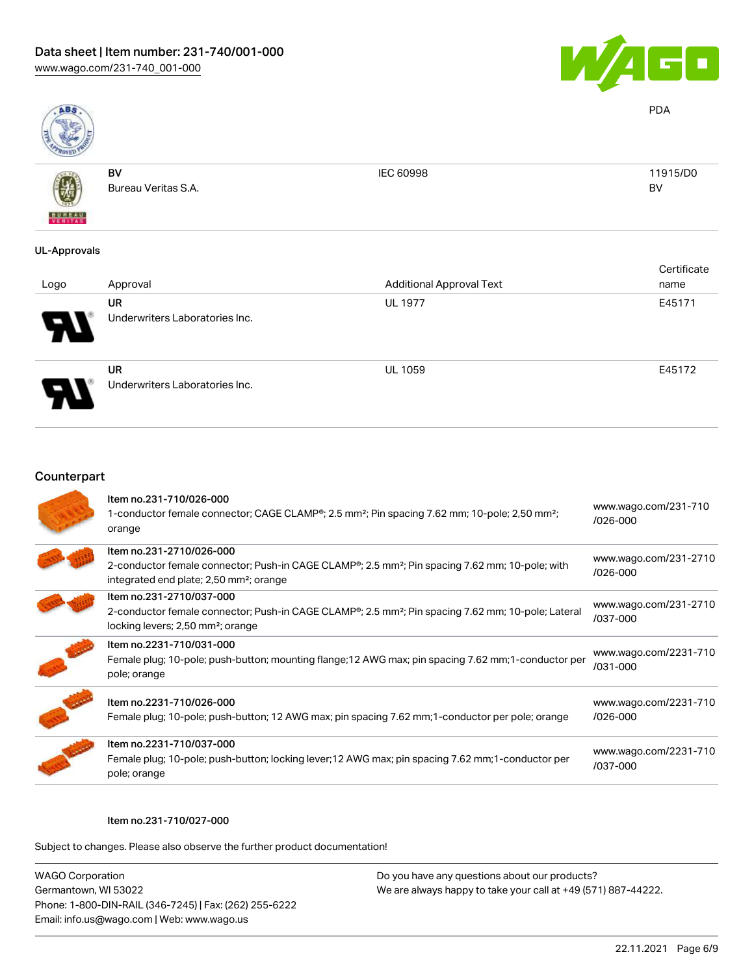

PDA

BV



BV Bureau Veritas S.A. IEC 60998 11915/D0

## UL-Approvals

| Logo | Approval                             | <b>Additional Approval Text</b> | Certificate<br>name |
|------|--------------------------------------|---------------------------------|---------------------|
| Я.   | UR<br>Underwriters Laboratories Inc. | <b>UL 1977</b>                  | E45171              |
| J    | UR<br>Underwriters Laboratories Inc. | <b>UL 1059</b>                  | E45172              |

### Counterpart

| Item no.231-710/026-000<br>1-conductor female connector; CAGE CLAMP <sup>®</sup> ; 2.5 mm <sup>2</sup> ; Pin spacing 7.62 mm; 10-pole; 2,50 mm <sup>2</sup> ;<br>orange                                     | www.wago.com/231-710<br>/026-000  |
|-------------------------------------------------------------------------------------------------------------------------------------------------------------------------------------------------------------|-----------------------------------|
| Item no.231-2710/026-000<br>2-conductor female connector; Push-in CAGE CLAMP <sup>®</sup> ; 2.5 mm <sup>2</sup> ; Pin spacing 7.62 mm; 10-pole; with<br>integrated end plate; 2,50 mm <sup>2</sup> ; orange | www.wago.com/231-2710<br>/026-000 |
| Item no.231-2710/037-000<br>2-conductor female connector; Push-in CAGE CLAMP <sup>®</sup> ; 2.5 mm <sup>2</sup> ; Pin spacing 7.62 mm; 10-pole; Lateral<br>locking levers; 2,50 mm <sup>2</sup> ; orange    | www.wago.com/231-2710<br>/037-000 |
| Item no.2231-710/031-000<br>Female plug; 10-pole; push-button; mounting flange; 12 AWG max; pin spacing 7.62 mm; 1-conductor per<br>pole; orange                                                            | www.wago.com/2231-710<br>/031-000 |
| Item no.2231-710/026-000<br>Female plug; 10-pole; push-button; 12 AWG max; pin spacing 7.62 mm; 1-conductor per pole; orange                                                                                | www.wago.com/2231-710<br>/026-000 |
| Item no.2231-710/037-000<br>Female plug; 10-pole; push-button; locking lever; 12 AWG max; pin spacing 7.62 mm; 1-conductor per<br>pole; orange                                                              | www.wago.com/2231-710<br>/037-000 |

#### Item no.231-710/027-000

Subject to changes. Please also observe the further product documentation!

WAGO Corporation Germantown, WI 53022 Phone: 1-800-DIN-RAIL (346-7245) | Fax: (262) 255-6222 Email: info.us@wago.com | Web: www.wago.us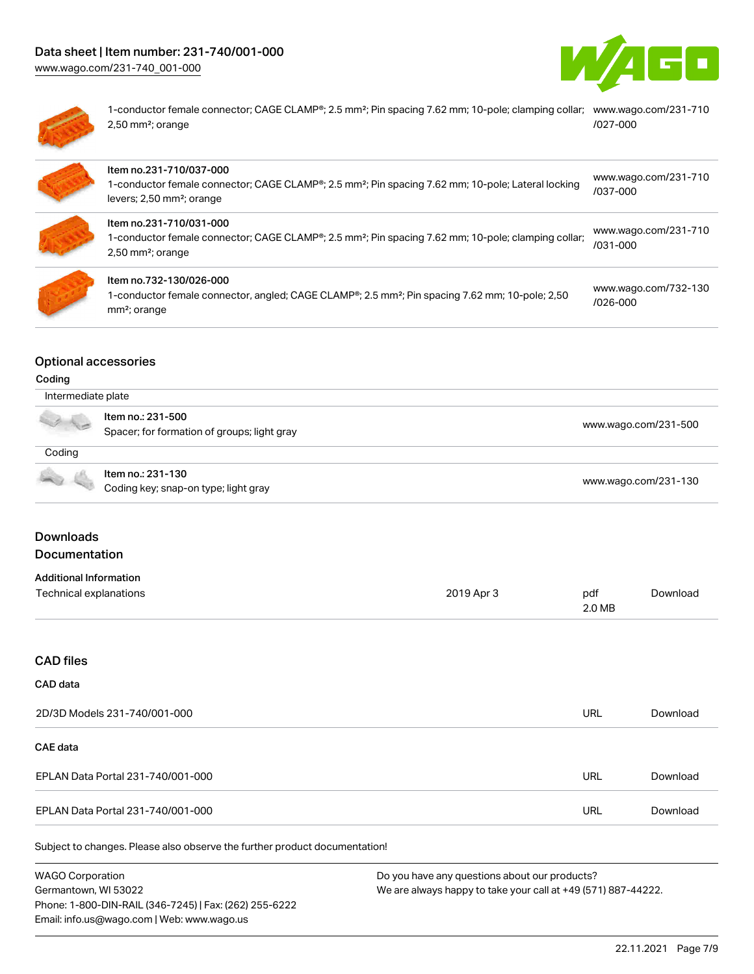[www.wago.com/231-740\\_001-000](http://www.wago.com/231-740_001-000)





1-conductor female connector; CAGE CLAMP®; 2.5 mm²; Pin spacing 7.62 mm; 10-pole; clamping collar; [www.wago.com/231-710](https://www.wago.com/231-710/027-000) 2,50 mm²; orange [/027-000](https://www.wago.com/231-710/027-000)

| Item no.231-710/037-000<br>1-conductor female connector; CAGE CLAMP <sup>®</sup> ; 2.5 mm <sup>2</sup> ; Pin spacing 7.62 mm; 10-pole; Lateral locking<br>levers; 2,50 mm <sup>2</sup> ; orange | www.wago.com/231-710<br>/037-000     |
|-------------------------------------------------------------------------------------------------------------------------------------------------------------------------------------------------|--------------------------------------|
| Item no.231-710/031-000<br>1-conductor female connector; CAGE CLAMP <sup>®</sup> ; 2.5 mm <sup>2</sup> ; Pin spacing 7.62 mm; 10-pole; clamping collar;<br>$2,50$ mm <sup>2</sup> ; orange      | www.wago.com/231-710<br>/031-000     |
| Item no.732-130/026-000<br>1-conductor female connector, angled; CAGE CLAMP <sup>®</sup> ; 2.5 mm <sup>2</sup> ; Pin spacing 7.62 mm; 10-pole; 2,50<br>mm <sup>2</sup> ; orange                 | www.wago.com/732-130<br>$/026 - 000$ |

### Optional accessories

### Coding

| Intermediate plate |                                                                  |                      |
|--------------------|------------------------------------------------------------------|----------------------|
|                    | Item no.: 231-500<br>Spacer; for formation of groups; light gray | www.wago.com/231-500 |
| Coding             |                                                                  |                      |
|                    | Item no.: 231-130<br>Coding key; snap-on type; light gray        | www.wago.com/231-130 |

# Downloads Documentation

### Additional Information

| Additional information |            |        |          |
|------------------------|------------|--------|----------|
| Technical explanations | 2019 Apr 3 | pdf    | Download |
|                        |            | 2.0 MB |          |

# CAD files

### CAD data

| 2D/3D Models 231-740/001-000      | URL | Download |
|-----------------------------------|-----|----------|
| CAE data                          |     |          |
| EPLAN Data Portal 231-740/001-000 | URL | Download |
| EPLAN Data Portal 231-740/001-000 | URL | Download |

Subject to changes. Please also observe the further product documentation!

WAGO Corporation Germantown, WI 53022 Phone: 1-800-DIN-RAIL (346-7245) | Fax: (262) 255-6222 Email: info.us@wago.com | Web: www.wago.us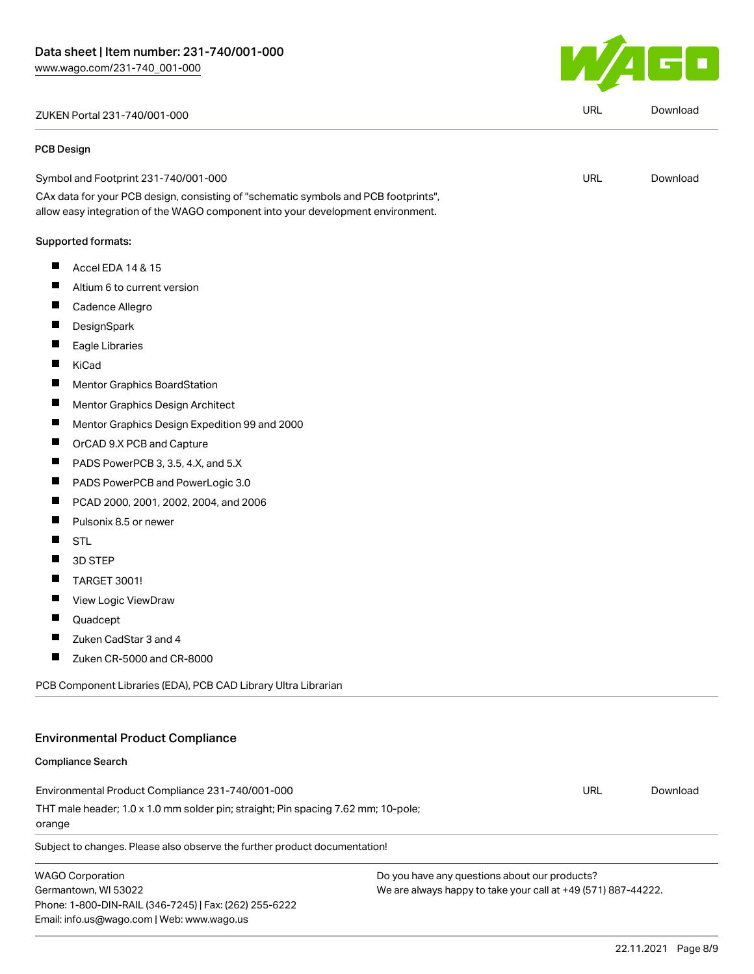ZUKEN Portal 231-740/001-000 URL [Download](https://www.wago.com/global/d/Zuken_URLS_231-740_001-000)

#### PCB Design

Symbol and Footprint 231-740/001-000

CAx data for your PCB design, consisting of "schematic symbols and PCB footprints", allow easy integration of the WAGO component into your development environment.

### Supported formats:

- $\blacksquare$ Accel EDA 14 & 15
- $\blacksquare$ Altium 6 to current version
- $\blacksquare$ Cadence Allegro
- $\blacksquare$ **DesignSpark**
- $\blacksquare$ Eagle Libraries
- $\blacksquare$ KiCad
- $\blacksquare$ Mentor Graphics BoardStation
- $\blacksquare$ Mentor Graphics Design Architect
- $\blacksquare$ Mentor Graphics Design Expedition 99 and 2000
- $\blacksquare$ OrCAD 9.X PCB and Capture
- $\blacksquare$ PADS PowerPCB 3, 3.5, 4.X, and 5.X
- $\blacksquare$ PADS PowerPCB and PowerLogic 3.0
- $\blacksquare$ PCAD 2000, 2001, 2002, 2004, and 2006
- $\blacksquare$ Pulsonix 8.5 or newer
- $\blacksquare$ STL
- $\blacksquare$ 3D STEP
- $\blacksquare$ TARGET 3001!
- $\blacksquare$ View Logic ViewDraw
- П Quadcept
- П Zuken CadStar 3 and 4
- П Zuken CR-5000 and CR-8000

PCB Component Libraries (EDA), PCB CAD Library Ultra Librarian

# Environmental Product Compliance

### Compliance Search

Environmental Product Compliance 231-740/001-000 THT male header; 1.0 x 1.0 mm solder pin; straight; Pin spacing 7.62 mm; 10-pole; orange URL [Download](https://www.wago.com/global/d/ComplianceLinkMediaContainer_231-740_001-000)

Subject to changes. Please also observe the further product documentation!

WAGO Corporation Germantown, WI 53022 Phone: 1-800-DIN-RAIL (346-7245) | Fax: (262) 255-6222 Email: info.us@wago.com | Web: www.wago.us

Do you have any questions about our products? We are always happy to take your call at +49 (571) 887-44222.





URL [Download](https://www.wago.com/global/d/UltraLibrarian_URLS_231-740_001-000)